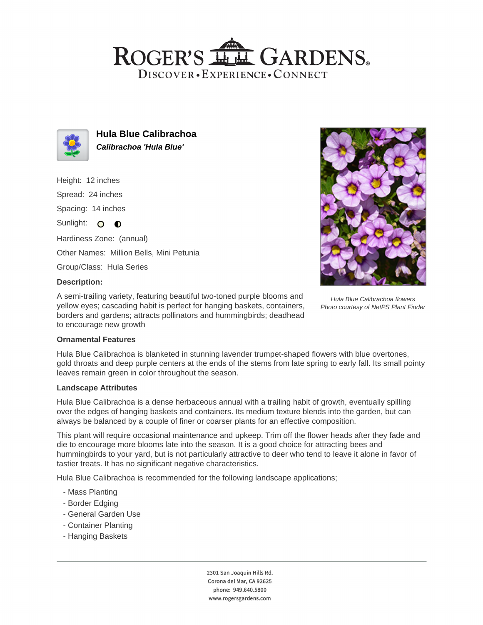## ROGER'S LLE GARDENS. DISCOVER · EXPERIENCE · CONNECT



**Hula Blue Calibrachoa Calibrachoa 'Hula Blue'**

Height: 12 inches

Spread: 24 inches

Spacing: 14 inches

Sunlight: O O

Hardiness Zone: (annual) Other Names: Million Bells, Mini Petunia

Group/Class: Hula Series

## **Description:**

A semi-trailing variety, featuring beautiful two-toned purple blooms and yellow eyes; cascading habit is perfect for hanging baskets, containers, borders and gardens; attracts pollinators and hummingbirds; deadhead to encourage new growth



Hula Blue Calibrachoa flowers Photo courtesy of NetPS Plant Finder

## **Ornamental Features**

Hula Blue Calibrachoa is blanketed in stunning lavender trumpet-shaped flowers with blue overtones, gold throats and deep purple centers at the ends of the stems from late spring to early fall. Its small pointy leaves remain green in color throughout the season.

#### **Landscape Attributes**

Hula Blue Calibrachoa is a dense herbaceous annual with a trailing habit of growth, eventually spilling over the edges of hanging baskets and containers. Its medium texture blends into the garden, but can always be balanced by a couple of finer or coarser plants for an effective composition.

This plant will require occasional maintenance and upkeep. Trim off the flower heads after they fade and die to encourage more blooms late into the season. It is a good choice for attracting bees and hummingbirds to your yard, but is not particularly attractive to deer who tend to leave it alone in favor of tastier treats. It has no significant negative characteristics.

Hula Blue Calibrachoa is recommended for the following landscape applications;

- Mass Planting
- Border Edging
- General Garden Use
- Container Planting
- Hanging Baskets

2301 San Joaquin Hills Rd. Corona del Mar, CA 92625 phone: 949.640.5800 www.rogersgardens.com